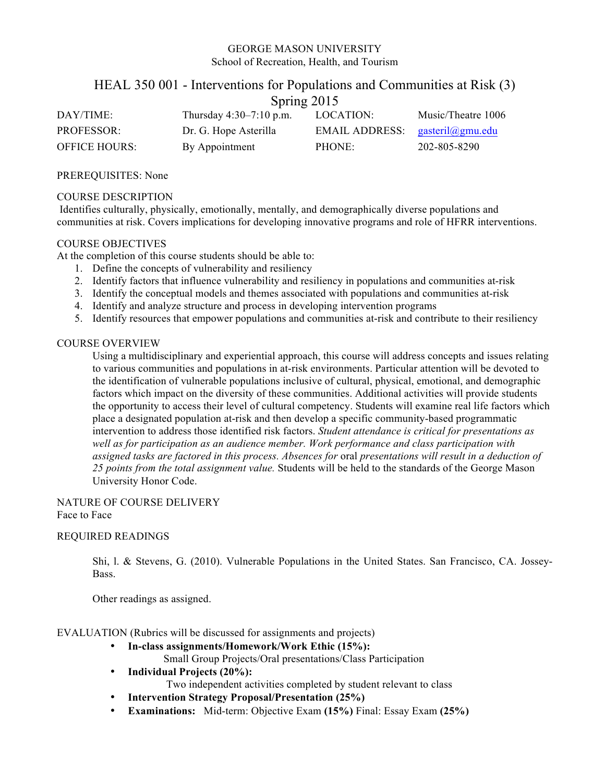### GEORGE MASON UNIVERSITY School of Recreation, Health, and Tourism

## HEAL 350 001 - Interventions for Populations and Communities at Risk (3)  $S<sub>nrino</sub> 2015$

|                      | $D$ pring $201J$          |                |                    |  |  |  |
|----------------------|---------------------------|----------------|--------------------|--|--|--|
| DAY/TIME:            | Thursday $4:30-7:10$ p.m. | LOCATION:      | Music/Theatre 1006 |  |  |  |
| <b>PROFESSOR:</b>    | Dr. G. Hope Asterilla     | EMAIL ADDRESS: | gasteril@gmu.edu   |  |  |  |
| <b>OFFICE HOURS:</b> | By Appointment            | PHONE:         | 202-805-8290       |  |  |  |

PREREQUISITES: None

#### COURSE DESCRIPTION

Identifies culturally, physically, emotionally, mentally, and demographically diverse populations and communities at risk. Covers implications for developing innovative programs and role of HFRR interventions.

## COURSE OBJECTIVES

At the completion of this course students should be able to:

- 1. Define the concepts of vulnerability and resiliency
- 2. Identify factors that influence vulnerability and resiliency in populations and communities at-risk
- 3. Identify the conceptual models and themes associated with populations and communities at-risk
- 4. Identify and analyze structure and process in developing intervention programs
- 5. Identify resources that empower populations and communities at-risk and contribute to their resiliency

### COURSE OVERVIEW

Using a multidisciplinary and experiential approach, this course will address concepts and issues relating to various communities and populations in at-risk environments. Particular attention will be devoted to the identification of vulnerable populations inclusive of cultural, physical, emotional, and demographic factors which impact on the diversity of these communities. Additional activities will provide students the opportunity to access their level of cultural competency. Students will examine real life factors which place a designated population at-risk and then develop a specific community-based programmatic intervention to address those identified risk factors. *Student attendance is critical for presentations as well as for participation as an audience member. Work performance and class participation with assigned tasks are factored in this process. Absences for* oral *presentations will result in a deduction of 25 points from the total assignment value.* Students will be held to the standards of the George Mason University Honor Code.

#### NATURE OF COURSE DELIVERY Face to Face

#### REQUIRED READINGS

Shi, l. & Stevens, G. (2010). Vulnerable Populations in the United States. San Francisco, CA. Jossey-Bass.

Other readings as assigned.

#### EVALUATION (Rubrics will be discussed for assignments and projects)

• **In-class assignments/Homework/Work Ethic (15%):**

Small Group Projects/Oral presentations/Class Participation

- **Individual Projects (20%):** Two independent activities completed by student relevant to class
- **Intervention Strategy Proposal/Presentation (25%)**
- **Examinations:** Mid-term: Objective Exam **(15%)** Final: Essay Exam **(25%)**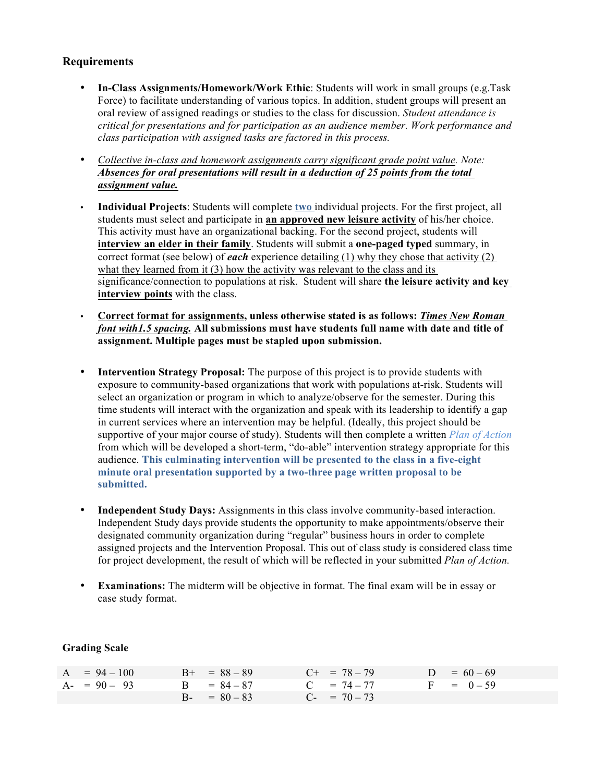# **Requirements**

- **In-Class Assignments/Homework/Work Ethic**: Students will work in small groups (e.g.Task Force) to facilitate understanding of various topics. In addition, student groups will present an oral review of assigned readings or studies to the class for discussion. *Student attendance is critical for presentations and for participation as an audience member. Work performance and class participation with assigned tasks are factored in this process.*
- *Collective in-class and homework assignments carry significant grade point value. Note: Absences for oral presentations will result in a deduction of 25 points from the total assignment value.*
- **Individual Projects**: Students will complete **two** individual projects. For the first project, all students must select and participate in **an approved new leisure activity** of his/her choice. This activity must have an organizational backing. For the second project, students will **interview an elder in their family**. Students will submit a **one-paged typed** summary, in correct format (see below) of *each* experience detailing (1) why they chose that activity (2) what they learned from it (3) how the activity was relevant to the class and its significance/connection to populations at risk. Student will share **the leisure activity and key interview points** with the class.
- **Correct format for assignments, unless otherwise stated is as follows:** *Times New Roman font with1.5 spacing.* **All submissions must have students full name with date and title of assignment. Multiple pages must be stapled upon submission.**
- **Intervention Strategy Proposal:** The purpose of this project is to provide students with exposure to community-based organizations that work with populations at-risk. Students will select an organization or program in which to analyze/observe for the semester. During this time students will interact with the organization and speak with its leadership to identify a gap in current services where an intervention may be helpful. (Ideally, this project should be supportive of your major course of study). Students will then complete a written *Plan of Action* from which will be developed a short-term, "do-able" intervention strategy appropriate for this audience. **This culminating intervention will be presented to the class in a five-eight minute oral presentation supported by a two-three page written proposal to be submitted.**
- **Independent Study Days:** Assignments in this class involve community-based interaction. Independent Study days provide students the opportunity to make appointments/observe their designated community organization during "regular" business hours in order to complete assigned projects and the Intervention Proposal. This out of class study is considered class time for project development, the result of which will be reflected in your submitted *Plan of Action.*
- **Examinations:** The midterm will be objective in format. The final exam will be in essay or case study format.

| $A = 94 - 100$  | $B_{+}$ = 88 - 89 | $C_{+}$ = 78 - 79 | $D = 60 - 69$ |
|-----------------|-------------------|-------------------|---------------|
| $A - = 90 - 93$ | $B = 84 - 87$     | $C = 74 - 77$     | $F = 0-59$    |
|                 | $B - = 80 - 83$   | $C_{-}$ = 70 - 73 |               |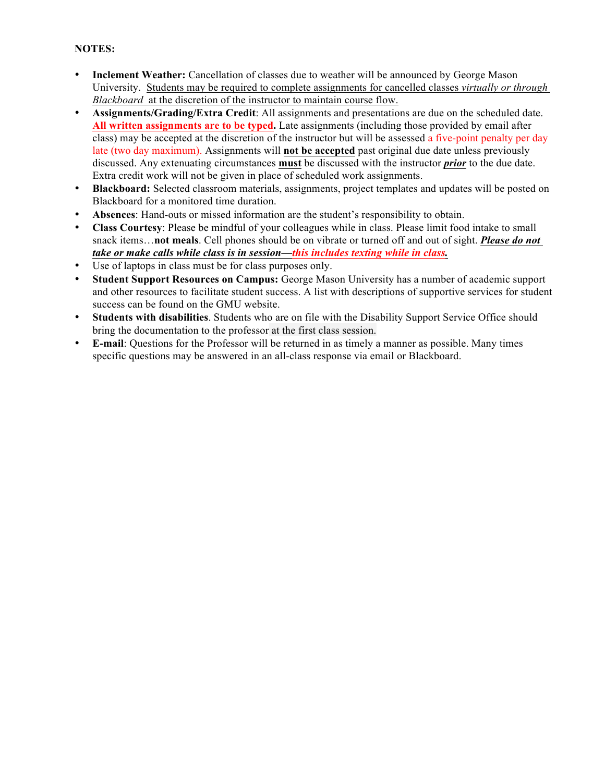# **NOTES:**

- **Inclement Weather:** Cancellation of classes due to weather will be announced by George Mason University. Students may be required to complete assignments for cancelled classes *virtually or through Blackboard* at the discretion of the instructor to maintain course flow.
- **Assignments/Grading/Extra Credit**: All assignments and presentations are due on the scheduled date. **All written assignments are to be typed.** Late assignments (including those provided by email after class) may be accepted at the discretion of the instructor but will be assessed a five-point penalty per day late (two day maximum). Assignments will **not be accepted** past original due date unless previously discussed. Any extenuating circumstances **must** be discussed with the instructor *prior* to the due date. Extra credit work will not be given in place of scheduled work assignments.
- **Blackboard:** Selected classroom materials, assignments, project templates and updates will be posted on Blackboard for a monitored time duration.
- **Absences**: Hand-outs or missed information are the student's responsibility to obtain.
- **Class Courtesy**: Please be mindful of your colleagues while in class. Please limit food intake to small snack items…**not meals**. Cell phones should be on vibrate or turned off and out of sight. *Please do not take or make calls while class is in session—this includes texting while in class.*
- Use of laptops in class must be for class purposes only.
- **Student Support Resources on Campus:** George Mason University has a number of academic support and other resources to facilitate student success. A list with descriptions of supportive services for student success can be found on the GMU website.
- **Students with disabilities**. Students who are on file with the Disability Support Service Office should bring the documentation to the professor at the first class session.
- **E-mail**: Questions for the Professor will be returned in as timely a manner as possible. Many times specific questions may be answered in an all-class response via email or Blackboard.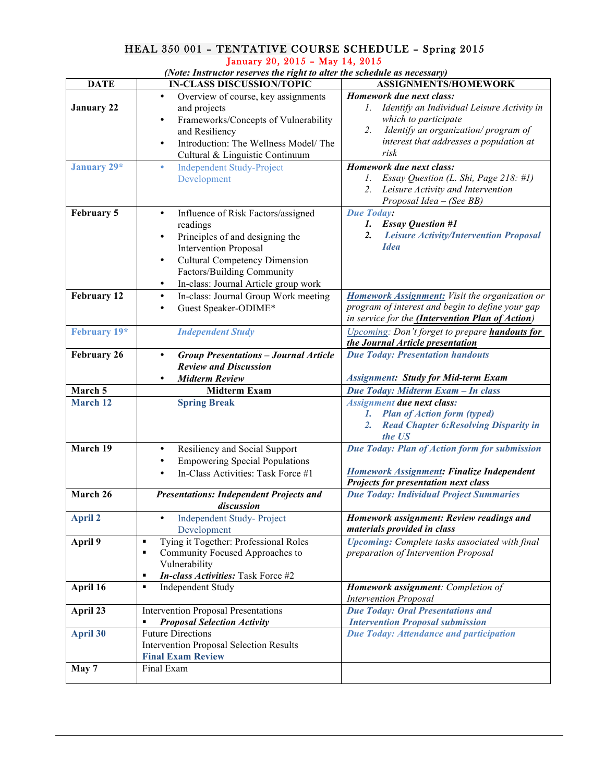## HEAL 350 001 – TENTATIVE COURSE SCHEDULE – Spring 2015 January 20, 2015 – May 14, 2015

*(Note: Instructor reserves the right to alter the schedule as necessary)*

| <b>DATE</b>        | $_{\rm F}$ , then actor reserves the right to uner the seneuate us necessary)<br><b>IN-CLASS DISCUSSION/TOPIC</b> | ASSIGNMENTS/HOMEWORK                                                    |
|--------------------|-------------------------------------------------------------------------------------------------------------------|-------------------------------------------------------------------------|
|                    | ٠<br>Overview of course, key assignments                                                                          | Homework due next class:                                                |
| <b>January 22</b>  | and projects                                                                                                      | 1. Identify an Individual Leisure Activity in                           |
|                    | Frameworks/Concepts of Vulnerability<br>٠                                                                         | which to participate                                                    |
|                    | and Resiliency                                                                                                    | Identify an organization/program of<br>2.                               |
|                    | Introduction: The Wellness Model/ The<br>٠                                                                        | interest that addresses a population at                                 |
|                    | Cultural & Linguistic Continuum                                                                                   | risk                                                                    |
| January 29*        | <b>Independent Study-Project</b><br>٠                                                                             | Homework due next class:                                                |
|                    | Development                                                                                                       | Essay Question (L. Shi, Page 218: #1)<br>$l_{\cdot}$                    |
|                    |                                                                                                                   | Leisure Activity and Intervention<br>2.                                 |
|                    |                                                                                                                   | Proposal Idea – (See BB)                                                |
| February 5         | Influence of Risk Factors/assigned<br>$\bullet$                                                                   | <b>Due Today:</b>                                                       |
|                    | readings                                                                                                          | <b>Essay Question #1</b><br>1.                                          |
|                    | Principles of and designing the<br>٠                                                                              | <b>Leisure Activity/Intervention Proposal</b><br>$\overline{2}$ .       |
|                    | <b>Intervention Proposal</b>                                                                                      | <b>Idea</b>                                                             |
|                    | <b>Cultural Competency Dimension</b><br>٠                                                                         |                                                                         |
|                    | Factors/Building Community                                                                                        |                                                                         |
|                    | In-class: Journal Article group work<br>٠                                                                         |                                                                         |
| <b>February 12</b> | In-class: Journal Group Work meeting<br>$\bullet$                                                                 | Homework Assignment: Visit the organization or                          |
|                    | Guest Speaker-ODIME*<br>$\bullet$                                                                                 | program of interest and begin to define your gap                        |
|                    |                                                                                                                   | in service for the <i>(Intervention Plan of Action)</i>                 |
| February 19*       | <b>Independent Study</b>                                                                                          | Upcoming: Don't forget to prepare handouts for                          |
|                    |                                                                                                                   | the Journal Article presentation                                        |
| <b>February 26</b> | <b>Group Presentations - Journal Article</b><br>٠                                                                 | <b>Due Today: Presentation handouts</b>                                 |
|                    | <b>Review and Discussion</b>                                                                                      |                                                                         |
|                    | <b>Midterm Review</b><br>٠                                                                                        | <b>Assignment: Study for Mid-term Exam</b>                              |
| March 5            | <b>Midterm Exam</b>                                                                                               | Due Today: Midterm Exam - In class                                      |
| <b>March 12</b>    | <b>Spring Break</b>                                                                                               | <b>Assignment due next class:</b>                                       |
|                    |                                                                                                                   | 1. Plan of Action form (typed)                                          |
|                    |                                                                                                                   | <b>Read Chapter 6: Resolving Disparity in</b><br>2.                     |
|                    |                                                                                                                   | the US                                                                  |
| March 19           | Resiliency and Social Support<br>$\bullet$                                                                        | Due Today: Plan of Action form for submission                           |
|                    | <b>Empowering Special Populations</b>                                                                             |                                                                         |
|                    | In-Class Activities: Task Force #1                                                                                | Homework Assignment: Finalize Independent                               |
|                    |                                                                                                                   | Projects for presentation next class                                    |
| March 26           | <b>Presentations: Independent Projects and</b>                                                                    | <b>Due Today: Individual Project Summaries</b>                          |
| April 2            | discussion                                                                                                        |                                                                         |
|                    | Independent Study-Project                                                                                         | Homework assignment: Review readings and<br>materials provided in class |
|                    | Development<br>$\blacksquare$                                                                                     |                                                                         |
| April 9            | Tying it Together: Professional Roles<br>٠                                                                        | <b>Upcoming:</b> Complete tasks associated with final                   |
|                    | Community Focused Approaches to<br>Vulnerability                                                                  | preparation of Intervention Proposal                                    |
|                    | In-class Activities: Task Force #2<br>٠                                                                           |                                                                         |
| April 16           | Independent Study<br>٠                                                                                            | <b>Homework assignment:</b> Completion of                               |
|                    |                                                                                                                   | <b>Intervention Proposal</b>                                            |
| April 23           | <b>Intervention Proposal Presentations</b>                                                                        | <b>Due Today: Oral Presentations and</b>                                |
|                    | <b>Proposal Selection Activity</b>                                                                                | <b>Intervention Proposal submission</b>                                 |
| <b>April 30</b>    | <b>Future Directions</b>                                                                                          | <b>Due Today: Attendance and participation</b>                          |
|                    | <b>Intervention Proposal Selection Results</b>                                                                    |                                                                         |
|                    | <b>Final Exam Review</b>                                                                                          |                                                                         |
| May 7              | Final Exam                                                                                                        |                                                                         |
|                    |                                                                                                                   |                                                                         |